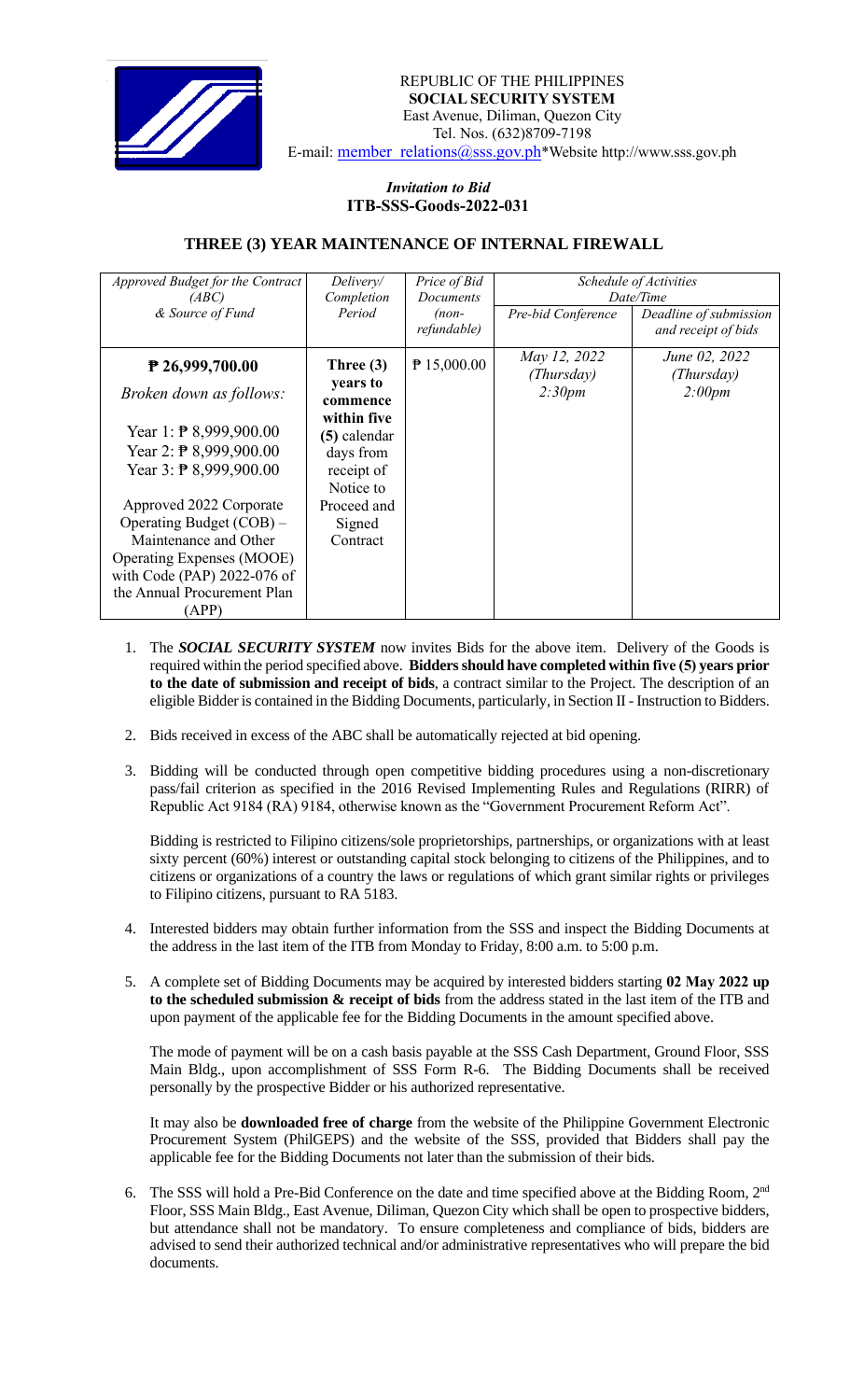

## *Invitation to Bid*  **ITB-SSS-Goods-2022-031**

## **THREE (3) YEAR MAINTENANCE OF INTERNAL FIREWALL**

| Approved Budget for the Contract<br>(ABC)<br>& Source of Fund                                                                                                                                                                                                                                                                                                           | Delivery/<br>Completion<br>Period                                                                                                               | Price of Bid<br>Documents<br>$(non-$<br>refundable) | Pre-bid Conference                   | Schedule of Activities<br>Date/Time<br>Deadline of submission<br>and receipt of bids |
|-------------------------------------------------------------------------------------------------------------------------------------------------------------------------------------------------------------------------------------------------------------------------------------------------------------------------------------------------------------------------|-------------------------------------------------------------------------------------------------------------------------------------------------|-----------------------------------------------------|--------------------------------------|--------------------------------------------------------------------------------------|
| $P$ 26,999,700.00<br><i>Broken down as follows:</i><br>Year 1: $\overline{P}$ 8,999,900.00<br>Year 2: $\overline{P}$ 8,999,900.00<br>Year $3:$ $\overline{P}$ 8,999,900.00<br>Approved 2022 Corporate<br>Operating Budget $(COB)$ –<br>Maintenance and Other<br><b>Operating Expenses (MOOE)</b><br>with Code (PAP) 2022-076 of<br>the Annual Procurement Plan<br>(APP) | Three $(3)$<br>years to<br>commence<br>within five<br>(5) calendar<br>days from<br>receipt of<br>Notice to<br>Proceed and<br>Signed<br>Contract | $P$ 15,000.00                                       | May 12, 2022<br>(Thursday)<br>2:30pm | June 02, 2022<br>(Thursday)<br>2:00pm                                                |

- 1. The *SOCIAL SECURITY SYSTEM* now invites Bids for the above item. Delivery of the Goods is required within the period specified above. **Bidders should have completed within five (5) years prior to the date of submission and receipt of bids**, a contract similar to the Project. The description of an eligible Bidder is contained in the Bidding Documents, particularly, in Section II - Instruction to Bidders.
- 2. Bids received in excess of the ABC shall be automatically rejected at bid opening.
- 3. Bidding will be conducted through open competitive bidding procedures using a non-discretionary pass/fail criterion as specified in the 2016 Revised Implementing Rules and Regulations (RIRR) of Republic Act 9184 (RA) 9184, otherwise known as the "Government Procurement Reform Act".

Bidding is restricted to Filipino citizens/sole proprietorships, partnerships, or organizations with at least sixty percent (60%) interest or outstanding capital stock belonging to citizens of the Philippines, and to citizens or organizations of a country the laws or regulations of which grant similar rights or privileges to Filipino citizens, pursuant to RA 5183.

- 4. Interested bidders may obtain further information from the SSS and inspect the Bidding Documents at the address in the last item of the ITB from Monday to Friday, 8:00 a.m. to 5:00 p.m.
- 5. A complete set of Bidding Documents may be acquired by interested bidders starting **02 May 2022 up to the scheduled submission & receipt of bids** from the address stated in the last item of the ITB and upon payment of the applicable fee for the Bidding Documents in the amount specified above.

The mode of payment will be on a cash basis payable at the SSS Cash Department, Ground Floor, SSS Main Bldg., upon accomplishment of SSS Form R-6. The Bidding Documents shall be received personally by the prospective Bidder or his authorized representative.

It may also be **downloaded free of charge** from the website of the Philippine Government Electronic Procurement System (PhilGEPS) and the website of the SSS*,* provided that Bidders shall pay the applicable fee for the Bidding Documents not later than the submission of their bids.

6. The SSS will hold a Pre-Bid Conference on the date and time specified above at the Bidding Room, 2<sup>nd</sup> Floor, SSS Main Bldg., East Avenue, Diliman, Quezon City which shall be open to prospective bidders, but attendance shall not be mandatory. To ensure completeness and compliance of bids, bidders are advised to send their authorized technical and/or administrative representatives who will prepare the bid documents.